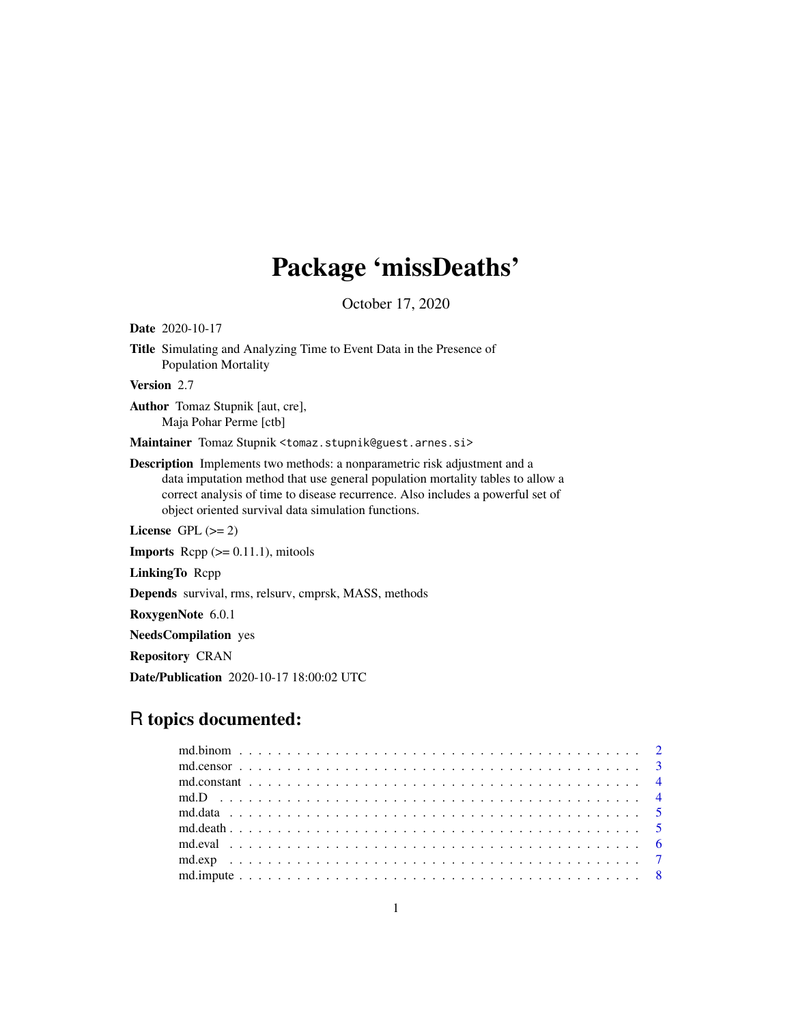# Package 'missDeaths'

October 17, 2020

Title Simulating and Analyzing Time to Event Data in the Presence of Population Mortality Version 2.7 Author Tomaz Stupnik [aut, cre], Maja Pohar Perme [ctb] Maintainer Tomaz Stupnik <tomaz.stupnik@guest.arnes.si> Description Implements two methods: a nonparametric risk adjustment and a data imputation method that use general population mortality tables to allow a correct analysis of time to disease recurrence. Also includes a powerful set of object oriented survival data simulation functions. License GPL  $(>= 2)$ **Imports** Repp  $(>= 0.11.1)$ , mitools LinkingTo Rcpp Depends survival, rms, relsurv, cmprsk, MASS, methods RoxygenNote 6.0.1 NeedsCompilation yes

Repository CRAN

<span id="page-0-0"></span>Date 2020-10-17

Date/Publication 2020-10-17 18:00:02 UTC

# R topics documented: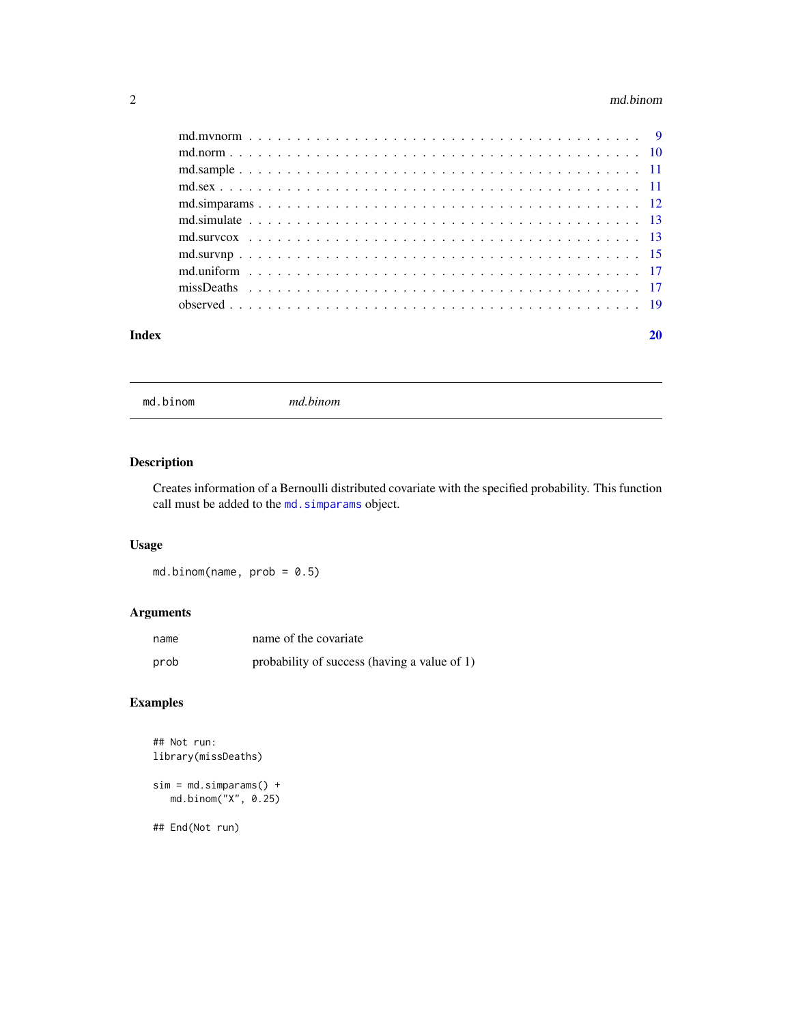#### <span id="page-1-0"></span>2 md.binom

| Index | 20 |
|-------|----|

<span id="page-1-1"></span>md.binom *md.binom*

# Description

Creates information of a Bernoulli distributed covariate with the specified probability. This function call must be added to the md. simparams object.

# Usage

md.binom(name,  $prob = 0.5$ )

# Arguments

| name | name of the covariate                        |
|------|----------------------------------------------|
| prob | probability of success (having a value of 1) |

# Examples

```
## Not run:
library(missDeaths)
```

```
sim = md.simparams() +md.binom("X", 0.25)
```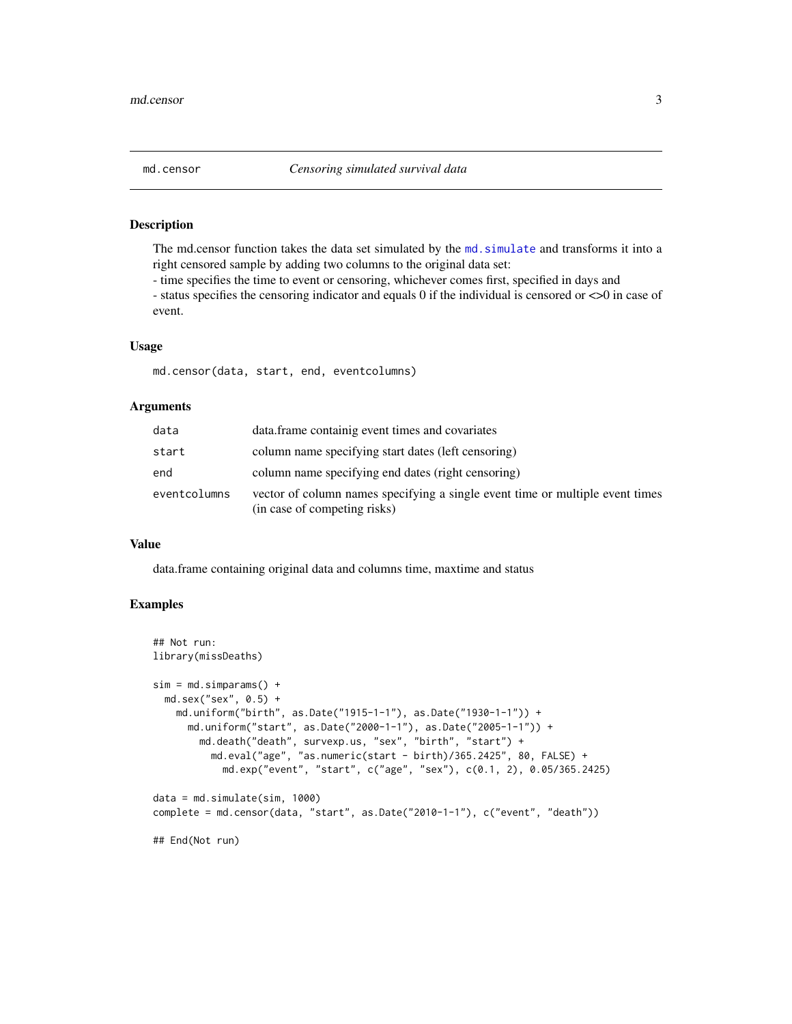<span id="page-2-0"></span>The md.censor function takes the data set simulated by the [md.simulate](#page-12-1) and transforms it into a right censored sample by adding two columns to the original data set:

- time specifies the time to event or censoring, whichever comes first, specified in days and

- status specifies the censoring indicator and equals 0 if the individual is censored or <>0 in case of event.

# Usage

md.censor(data, start, end, eventcolumns)

## Arguments

| data         | data. frame containig event times and covariates                                                              |
|--------------|---------------------------------------------------------------------------------------------------------------|
| start        | column name specifying start dates (left censoring)                                                           |
| end          | column name specifying end dates (right censoring)                                                            |
| eventcolumns | vector of column names specifying a single event time or multiple event times<br>(in case of competing risks) |

#### Value

data.frame containing original data and columns time, maxtime and status

# Examples

```
## Not run:
library(missDeaths)
sim = md.simparams() +md.sex("sex", 0.5) +
   md.uniform("birth", as.Date("1915-1-1"), as.Date("1930-1-1")) +
     md.uniform("start", as.Date("2000-1-1"), as.Date("2005-1-1")) +
       md.death("death", survexp.us, "sex", "birth", "start") +
         md.eval("age", "as.numeric(start - birth)/365.2425", 80, FALSE) +
            md.exp("event", "start", c("age", "sex"), c(0.1, 2), 0.05/365.2425)
data = md.simulate(sim, 1000)
complete = md.censor(data, "start", as.Date("2010-1-1"), c("event", "death"))
## End(Not run)
```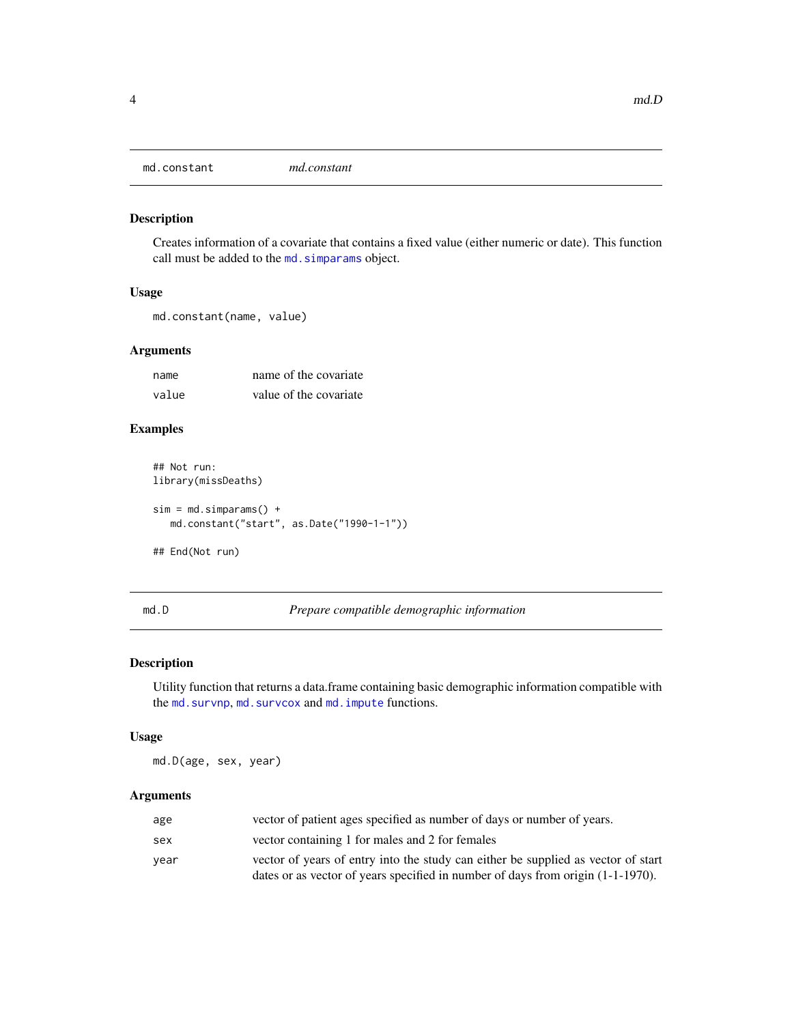<span id="page-3-2"></span><span id="page-3-0"></span>

Creates information of a covariate that contains a fixed value (either numeric or date). This function call must be added to the md. simparams object.

# Usage

```
md.constant(name, value)
```
## Arguments

| name  | name of the covariate  |
|-------|------------------------|
| value | value of the covariate |

#### Examples

```
## Not run:
library(missDeaths)
sim = md.simparams() +md.constant("start", as.Date("1990-1-1"))
## End(Not run)
```
<span id="page-3-1"></span>md.D *Prepare compatible demographic information*

# Description

Utility function that returns a data.frame containing basic demographic information compatible with the [md.survnp](#page-14-1), [md.survcox](#page-12-2) and [md.impute](#page-7-1) functions.

#### Usage

md.D(age, sex, year)

| age  | vector of patient ages specified as number of days or number of years.             |
|------|------------------------------------------------------------------------------------|
| sex  | vector containing 1 for males and 2 for females                                    |
| year | vector of years of entry into the study can either be supplied as vector of start  |
|      | dates or as vector of years specified in number of days from origin $(1-1-1970)$ . |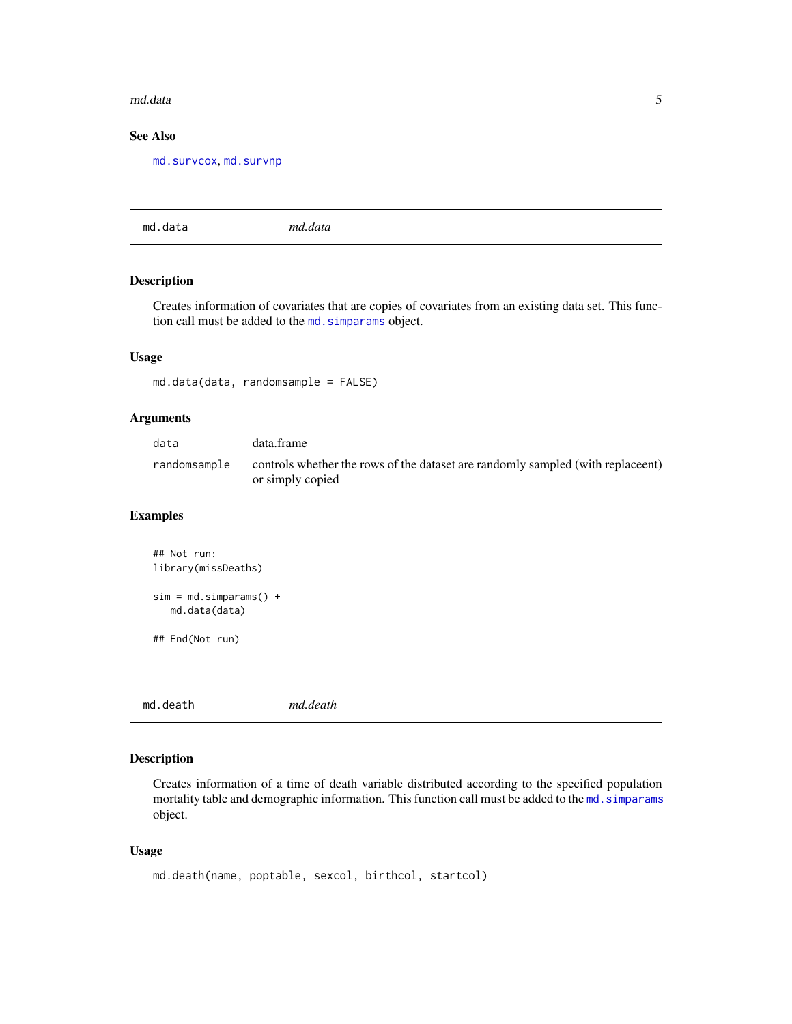#### <span id="page-4-0"></span>md.data 5

# See Also

[md.survcox](#page-12-2), [md.survnp](#page-14-1)

md.data *md.data*

# Description

Creates information of covariates that are copies of covariates from an existing data set. This function call must be added to the [md.simparams](#page-11-1) object.

#### Usage

md.data(data, randomsample = FALSE)

# Arguments

| data         | data.frame                                                                                          |
|--------------|-----------------------------------------------------------------------------------------------------|
| randomsample | controls whether the rows of the dataset are randomly sampled (with replace nt)<br>or simply copied |

# Examples

| $\#$ # Not run:<br>library(missDeaths)    |
|-------------------------------------------|
| $sim = md.simparams() +$<br>md.data(data) |
| ## End(Not run)                           |

<span id="page-4-1"></span>md.death *md.death*

# Description

Creates information of a time of death variable distributed according to the specified population mortality table and demographic information. This function call must be added to the md. simparams object.

#### Usage

```
md.death(name, poptable, sexcol, birthcol, startcol)
```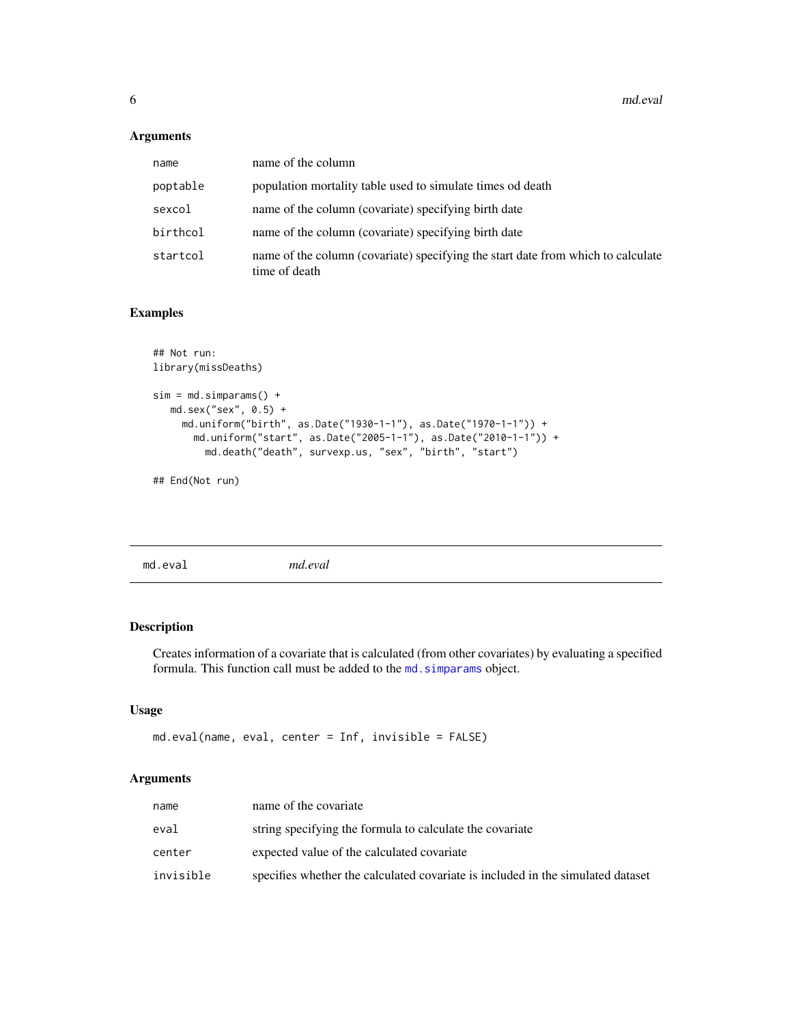# <span id="page-5-0"></span>Arguments

| name     | name of the column                                                                                |
|----------|---------------------------------------------------------------------------------------------------|
| poptable | population mortality table used to simulate times od death                                        |
| sexcol   | name of the column (covariate) specifying birth date                                              |
| birthcol | name of the column (covariate) specifying birth date                                              |
| startcol | name of the column (covariate) specifying the start date from which to calculate<br>time of death |

# Examples

```
## Not run:
library(missDeaths)
sim = md.simparams() +
  md.sex("sex", 0.5) +
    md.uniform("birth", as.Date("1930-1-1"), as.Date("1970-1-1")) +
      md.uniform("start", as.Date("2005-1-1"), as.Date("2010-1-1")) +
        md.death("death", survexp.us, "sex", "birth", "start")
```
## End(Not run)

| mc<br>$\sim$ | 12a<br>w |  |  |
|--------------|----------|--|--|
|              |          |  |  |

# Description

Creates information of a covariate that is calculated (from other covariates) by evaluating a specified formula. This function call must be added to the md. simparams object.

# Usage

```
md.eval(name, eval, center = Inf, invisible = FALSE)
```

| name      | name of the covariate                                                           |
|-----------|---------------------------------------------------------------------------------|
| eval      | string specifying the formula to calculate the covariate                        |
| center    | expected value of the calculated covariate                                      |
| invisible | specifies whether the calculated covariate is included in the simulated dataset |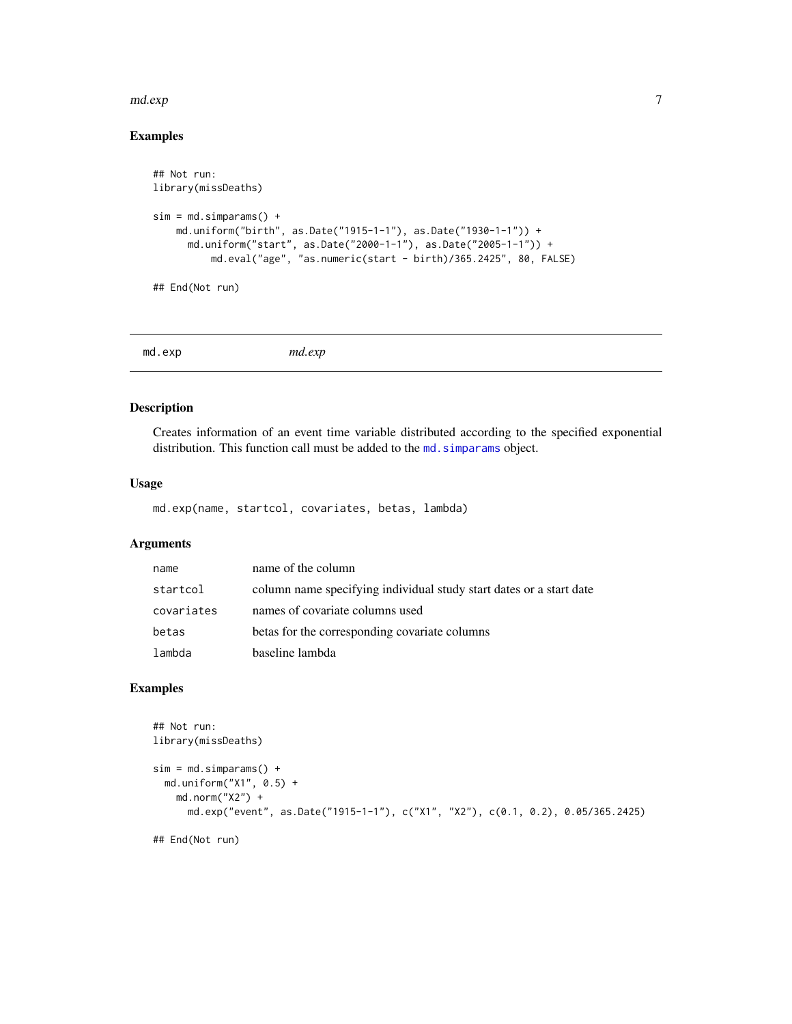#### <span id="page-6-0"></span>md.exp 7

# Examples

```
## Not run:
library(missDeaths)
sim = md.simparams() +md.uniform("birth", as.Date("1915-1-1"), as.Date("1930-1-1")) +
      md.uniform("start", as.Date("2000-1-1"), as.Date("2005-1-1")) +
          md.eval("age", "as.numeric(start - birth)/365.2425", 80, FALSE)
```
## End(Not run)

<span id="page-6-1"></span>md.exp *md.exp*

# Description

Creates information of an event time variable distributed according to the specified exponential distribution. This function call must be added to the md. simparams object.

# Usage

md.exp(name, startcol, covariates, betas, lambda)

# Arguments

| name       | name of the column                                                  |
|------------|---------------------------------------------------------------------|
| startcol   | column name specifying individual study start dates or a start date |
| covariates | names of covariate columns used                                     |
| betas      | betas for the corresponding covariate columns                       |
| lambda     | baseline lambda                                                     |

# Examples

```
## Not run:
library(missDeaths)
sim = md.simparams() +md.uniform("X1", 0.5) +
   md.norm("X2") +
      md.exp("event", as.Date("1915-1-1"), c("X1", "X2"), c(0.1, 0.2), 0.05/365.2425)
```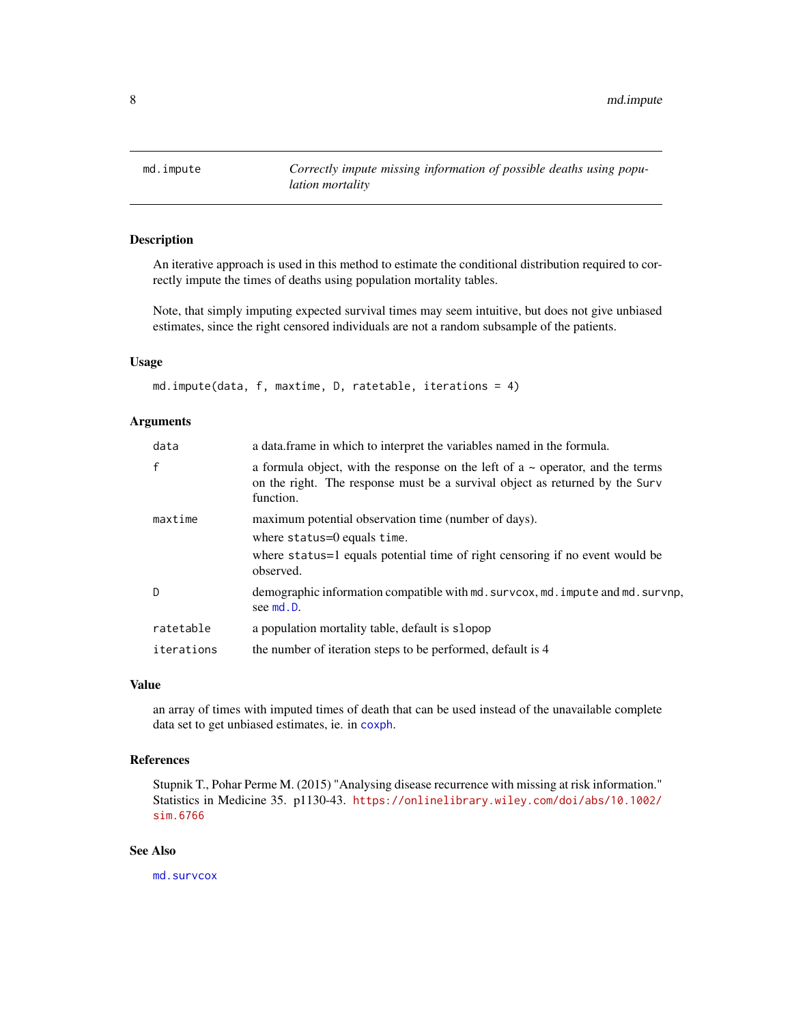<span id="page-7-1"></span><span id="page-7-0"></span>

An iterative approach is used in this method to estimate the conditional distribution required to correctly impute the times of deaths using population mortality tables.

Note, that simply imputing expected survival times may seem intuitive, but does not give unbiased estimates, since the right censored individuals are not a random subsample of the patients.

# Usage

md.impute(data, f, maxtime, D, ratetable, iterations = 4)

# Arguments

| data         | a data frame in which to interpret the variables named in the formula.                                                                                                           |
|--------------|----------------------------------------------------------------------------------------------------------------------------------------------------------------------------------|
| $\mathbf{f}$ | a formula object, with the response on the left of $a \sim$ operator, and the terms<br>on the right. The response must be a survival object as returned by the Surv<br>function. |
| maxtime      | maximum potential observation time (number of days).                                                                                                                             |
|              | where $status=0$ equals time.                                                                                                                                                    |
|              | where status=1 equals potential time of right censoring if no event would be<br>observed.                                                                                        |
| D            | demographic information compatible with md. survcox, md. impute and md. survnp,<br>see md.D.                                                                                     |
| ratetable    | a population mortality table, default is slopop                                                                                                                                  |
| iterations   | the number of iteration steps to be performed, default is 4                                                                                                                      |

# Value

an array of times with imputed times of death that can be used instead of the unavailable complete data set to get unbiased estimates, ie. in [coxph](#page-0-0).

# References

Stupnik T., Pohar Perme M. (2015) "Analysing disease recurrence with missing at risk information." Statistics in Medicine 35. p1130-43. [https://onlinelibrary.wiley.com/doi/abs/10.1002/](https://onlinelibrary.wiley.com/doi/abs/10.1002/sim.6766) [sim.6766](https://onlinelibrary.wiley.com/doi/abs/10.1002/sim.6766)

# See Also

[md.survcox](#page-12-2)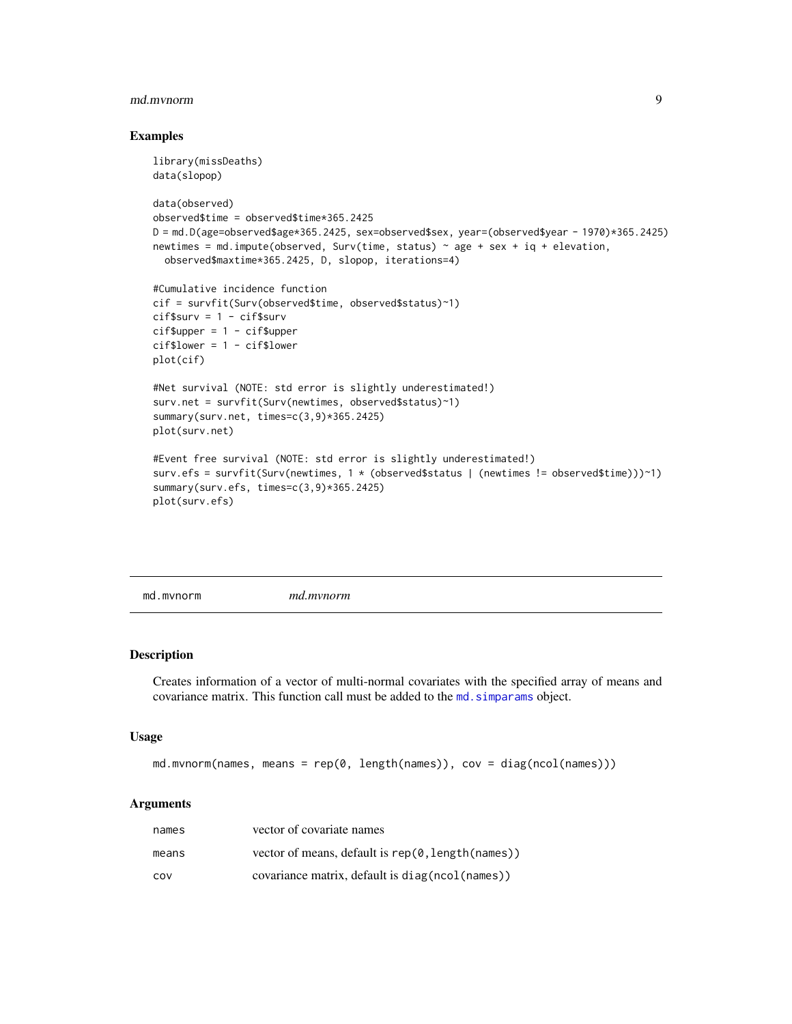#### <span id="page-8-0"></span>md.mvnorm 9

#### Examples

```
library(missDeaths)
data(slopop)
data(observed)
observed$time = observed$time*365.2425
D = md.D(age=observed$age*365.2425, sex=observed$sex, year=(observed$year - 1970)*365.2425)
newtimes = md.impute(observed, Surv(time, status) \sim age + sex + iq + elevation,
  observed$maxtime*365.2425, D, slopop, iterations=4)
#Cumulative incidence function
cif = survfit(Surv(observed$time, observed$status)~1)
cif$surv = 1 - cif$surv
cif$upper = 1 - cif$uppercif$lower = 1 - cif$lower
plot(cif)
#Net survival (NOTE: std error is slightly underestimated!)
surv.net = survfit(Surv(newtimes, observed$status)~1)
summary(surv.net, times=c(3,9)*365.2425)
plot(surv.net)
#Event free survival (NOTE: std error is slightly underestimated!)
surv.efs = survfit(Surv(newtimes, 1 * (observed$status | (newtimes != observed$time)))~1)
summary(surv.efs, times=c(3,9)*365.2425)
plot(surv.efs)
```
<span id="page-8-1"></span>md.mvnorm *md.mvnorm*

#### Description

Creates information of a vector of multi-normal covariates with the specified array of means and covariance matrix. This function call must be added to the [md.simparams](#page-11-1) object.

#### Usage

```
md.mvnorm(names, means = rep(\emptyset, length(names)), cov = diag(ncol(names)))
```

| names | vector of covariate names                         |
|-------|---------------------------------------------------|
| means | vector of means, default is rep(0, length(names)) |
| COV   | covariance matrix, default is diag(ncol(names))   |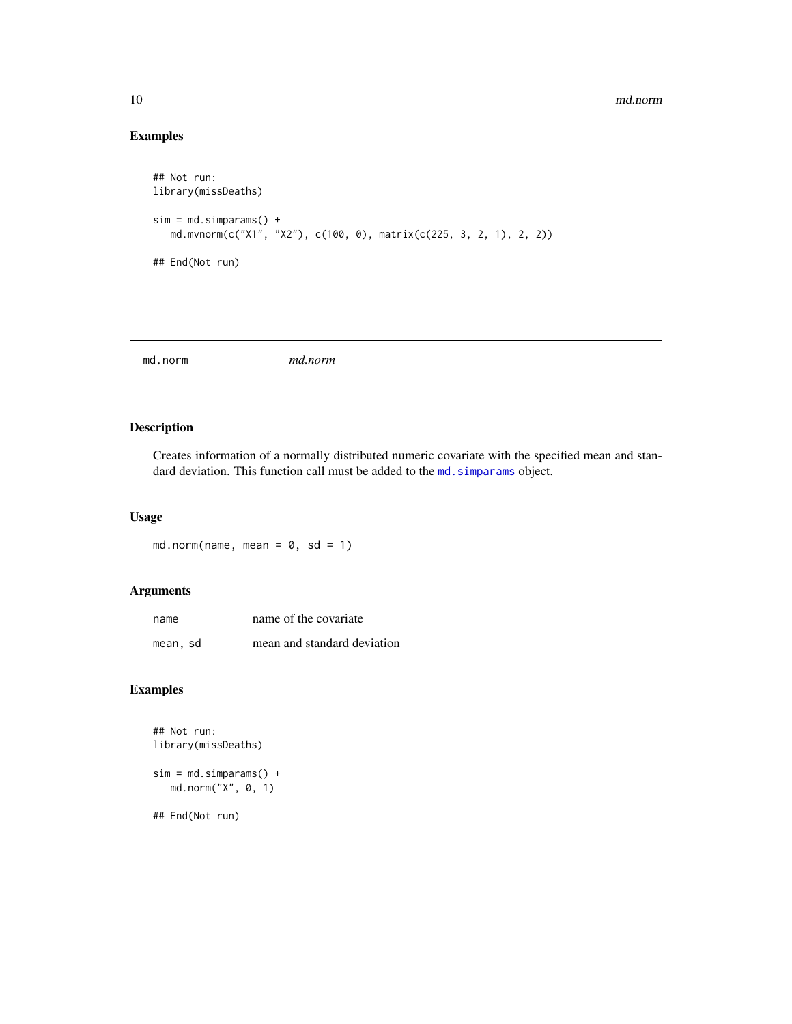#### 10 md.norm and the state of the state of the state of the state of the state of the state of the state of the state of the state of the state of the state of the state of the state of the state of the state of the state of

# Examples

```
## Not run:
library(missDeaths)
sim = md.simparams() +
  md.mvnorm(c("X1", "X2"), c(100, 0), matrix(c(225, 3, 2, 1), 2, 2))
## End(Not run)
```
<span id="page-9-1"></span>

# Description

Creates information of a normally distributed numeric covariate with the specified mean and standard deviation. This function call must be added to the md. simparams object.

# Usage

md.norm(name, mean =  $0$ , sd = 1)

# Arguments

| name     | name of the covariate       |
|----------|-----------------------------|
| mean, sd | mean and standard deviation |

# Examples

```
## Not run:
library(missDeaths)
sim = md.simparams() +md.norm("X", 0, 1)
## End(Not run)
```
<span id="page-9-0"></span>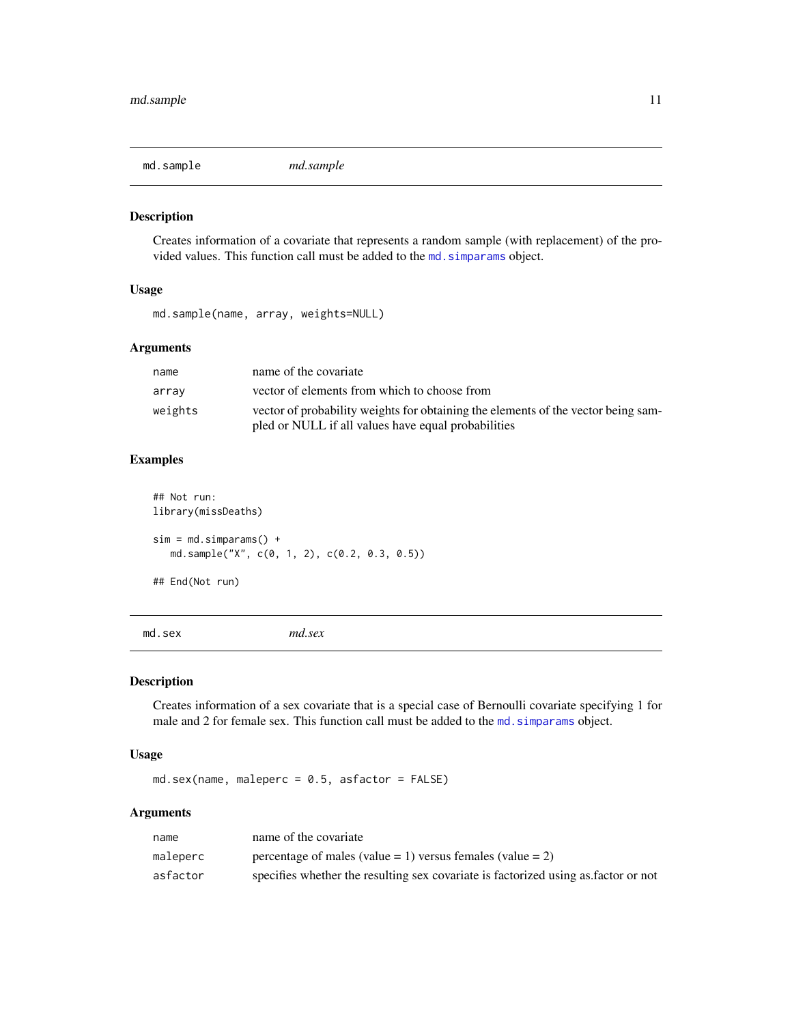<span id="page-10-0"></span>

Creates information of a covariate that represents a random sample (with replacement) of the provided values. This function call must be added to the md. simparams object.

#### Usage

md.sample(name, array, weights=NULL)

# Arguments

| name    | name of the covariate                                                             |
|---------|-----------------------------------------------------------------------------------|
| array   | vector of elements from which to choose from                                      |
| weights | vector of probability weights for obtaining the elements of the vector being sam- |
|         | pled or NULL if all values have equal probabilities                               |

# Examples

```
## Not run:
library(missDeaths)
sim = md.simparams() +md.sample("X", c(0, 1, 2), c(0.2, 0.3, 0.5))
## End(Not run)
```
<span id="page-10-1"></span>

md.sex *md.sex*

# Description

Creates information of a sex covariate that is a special case of Bernoulli covariate specifying 1 for male and 2 for female sex. This function call must be added to the md. simparams object.

# Usage

md.sex(name, maleperc = 0.5, asfactor = FALSE)

| name     | name of the covariate                                                              |
|----------|------------------------------------------------------------------------------------|
| maleperc | percentage of males (value = 1) versus females (value = 2)                         |
| asfactor | specifies whether the resulting sex covariate is factorized using as factor or not |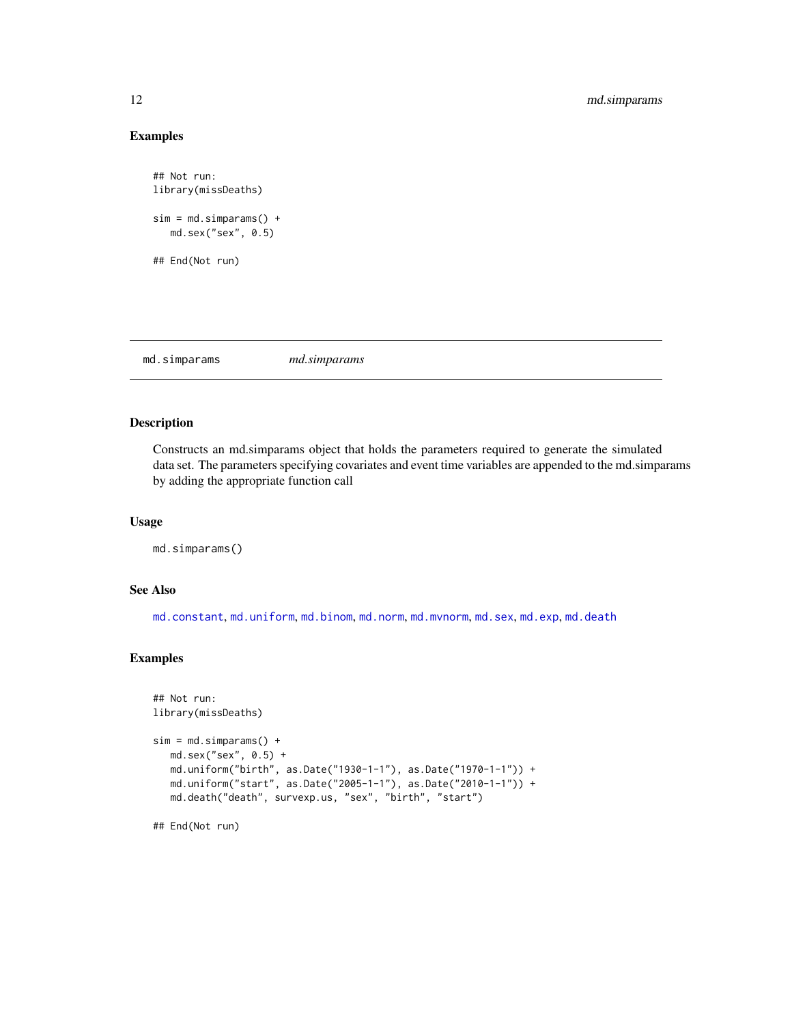# Examples

```
## Not run:
library(missDeaths)
sim = md.simparams() +md.sex("sex", 0.5)
## End(Not run)
```
<span id="page-11-1"></span>md.simparams *md.simparams*

# Description

Constructs an md.simparams object that holds the parameters required to generate the simulated data set. The parameters specifying covariates and event time variables are appended to the md.simparams by adding the appropriate function call

#### Usage

```
md.simparams()
```
# See Also

[md.constant](#page-3-2), [md.uniform](#page-16-1), [md.binom](#page-1-1), [md.norm](#page-9-1), [md.mvnorm](#page-8-1), [md.sex](#page-10-1), [md.exp](#page-6-1), [md.death](#page-4-1)

#### Examples

```
## Not run:
library(missDeaths)
sim = md.simparams() +md.sex("sex", 0.5) +
   md.uniform("birth", as.Date("1930-1-1"), as.Date("1970-1-1")) +
   md.uniform("start", as.Date("2005-1-1"), as.Date("2010-1-1")) +
  md.death("death", survexp.us, "sex", "birth", "start")
```
<span id="page-11-0"></span>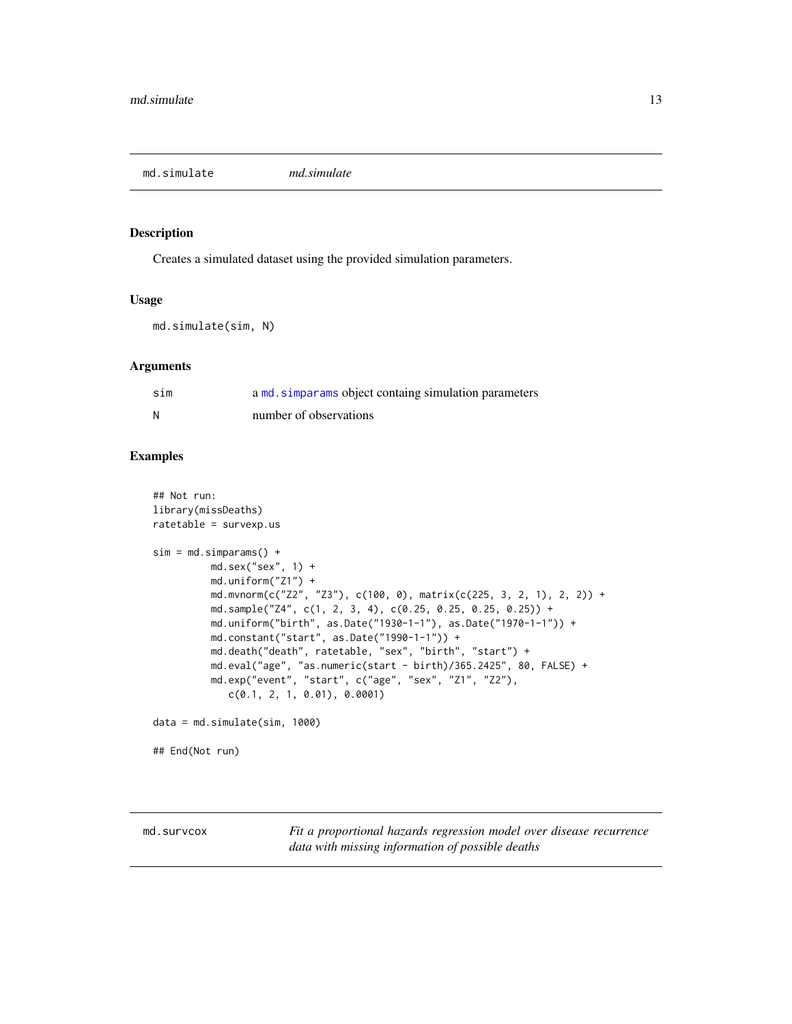<span id="page-12-1"></span><span id="page-12-0"></span>md.simulate *md.simulate*

#### Description

Creates a simulated dataset using the provided simulation parameters.

#### Usage

```
md.simulate(sim, N)
```
# Arguments

| sim | a md. simparams object containg simulation parameters |
|-----|-------------------------------------------------------|
| и   | number of observations                                |

# Examples

```
## Not run:
library(missDeaths)
ratetable = survexp.us
sim = md.simparams() +md.sex("sex", 1) +
         md.uniform("Z1") +
         md.mvnorm(c("Z2", "Z3"), c(100, 0), matrix(c(225, 3, 2, 1), 2, 2)) +
         md.sample("Z4", c(1, 2, 3, 4), c(0.25, 0.25, 0.25, 0.25)) +
         md.uniform("birth", as.Date("1930-1-1"), as.Date("1970-1-1")) +
         md.constant("start", as.Date("1990-1-1")) +
         md.death("death", ratetable, "sex", "birth", "start") +
         md.eval("age", "as.numeric(start - birth)/365.2425", 80, FALSE) +
         md.exp("event", "start", c("age", "sex", "Z1", "Z2"),
             c(0.1, 2, 1, 0.01), 0.0001)
data = md.simulate(sim, 1000)
## End(Not run)
```
<span id="page-12-2"></span>md.survcox *Fit a proportional hazards regression model over disease recurrence data with missing information of possible deaths*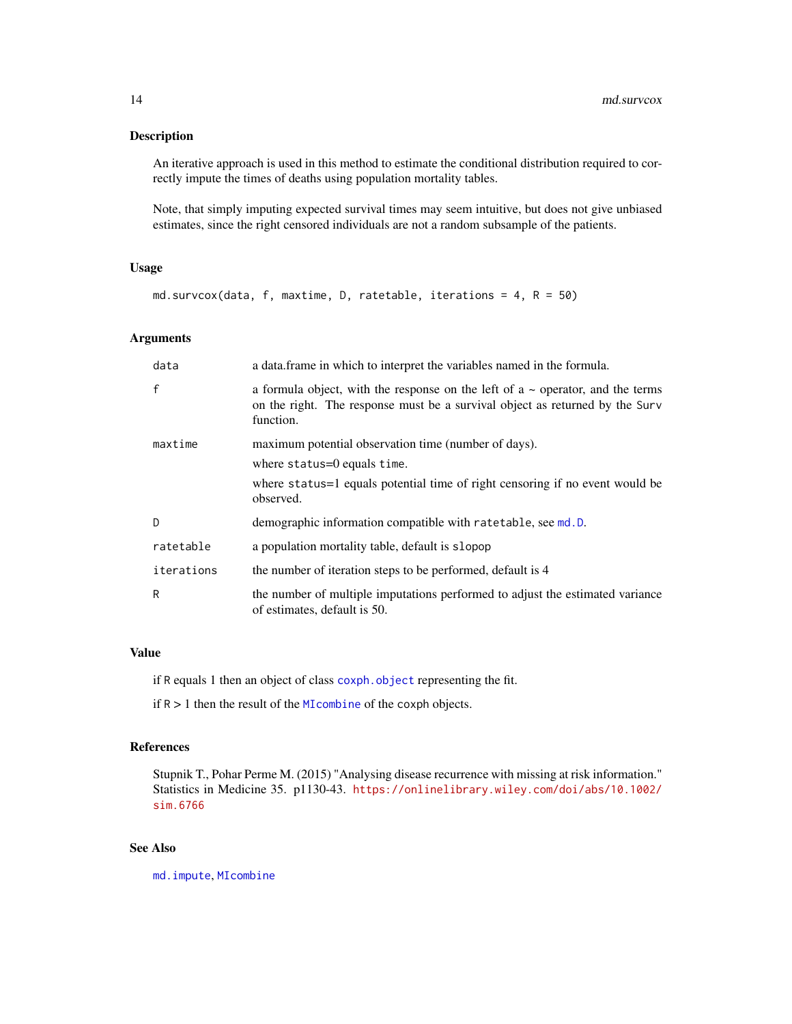<span id="page-13-0"></span>An iterative approach is used in this method to estimate the conditional distribution required to correctly impute the times of deaths using population mortality tables.

Note, that simply imputing expected survival times may seem intuitive, but does not give unbiased estimates, since the right censored individuals are not a random subsample of the patients.

#### Usage

```
md.survcox(data, f, maxtime, D, ratetable, iterations = 4, R = 50)
```
#### Arguments

| data         | a data.frame in which to interpret the variables named in the formula.                                                                                                           |
|--------------|----------------------------------------------------------------------------------------------------------------------------------------------------------------------------------|
| $\mathsf{f}$ | a formula object, with the response on the left of $a \sim$ operator, and the terms<br>on the right. The response must be a survival object as returned by the Surv<br>function. |
| maxtime      | maximum potential observation time (number of days).                                                                                                                             |
|              | where $status=0$ equals time.                                                                                                                                                    |
|              | where status = 1 equals potential time of right censoring if no event would be<br>observed.                                                                                      |
| D            | demographic information compatible with ratetable, see md.D.                                                                                                                     |
| ratetable    | a population mortality table, default is slopop                                                                                                                                  |
| iterations   | the number of iteration steps to be performed, default is 4                                                                                                                      |
| R            | the number of multiple imputations performed to adjust the estimated variance<br>of estimates, default is 50.                                                                    |

### Value

if R equals 1 then an object of class [coxph.object](#page-0-0) representing the fit.

if R > 1 then the result of the [MIcombine](#page-0-0) of the coxph objects.

# References

Stupnik T., Pohar Perme M. (2015) "Analysing disease recurrence with missing at risk information." Statistics in Medicine 35. p1130-43. [https://onlinelibrary.wiley.com/doi/abs/10.1002/](https://onlinelibrary.wiley.com/doi/abs/10.1002/sim.6766) [sim.6766](https://onlinelibrary.wiley.com/doi/abs/10.1002/sim.6766)

# See Also

[md.impute](#page-7-1), [MIcombine](#page-0-0)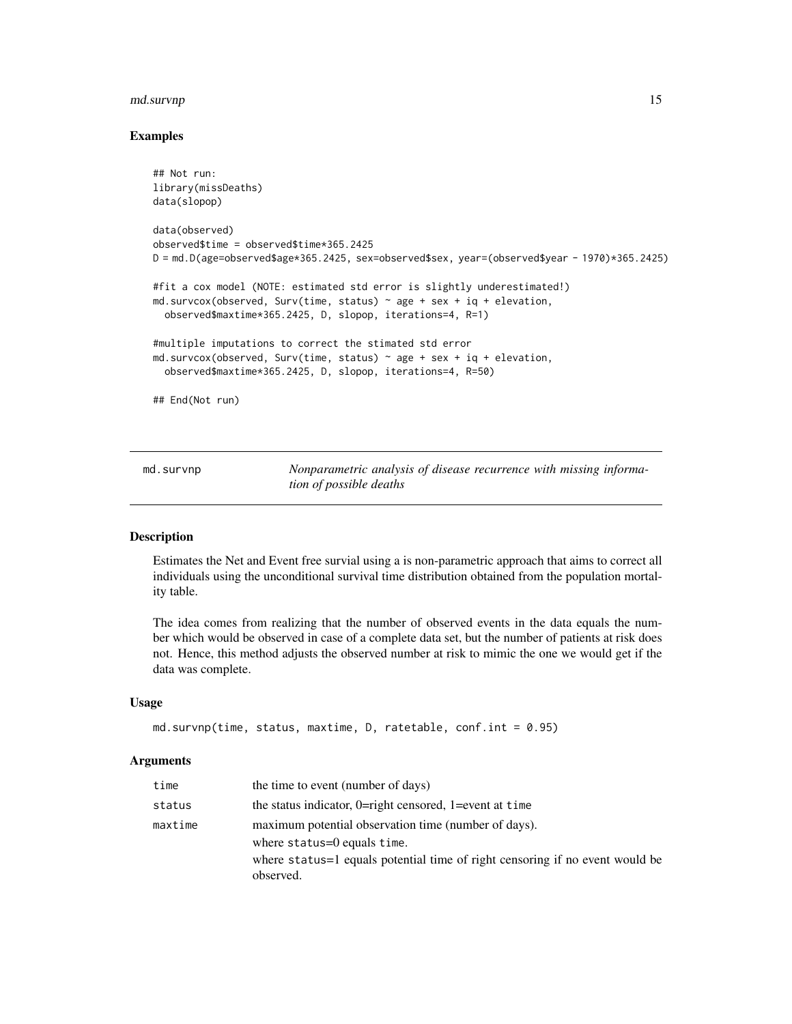#### <span id="page-14-0"></span>md.survnp 15

#### Examples

```
## Not run:
library(missDeaths)
data(slopop)
data(observed)
observed$time = observed$time*365.2425
D = md.D(age=observed$age*365.2425, sex=observed$sex, year=(observed$year-1970)*365.2425)#fit a cox model (NOTE: estimated std error is slightly underestimated!)
md.survcox(observed, Surv(time, status) \sim age + sex + iq + elevation,
 observed$maxtime*365.2425, D, slopop, iterations=4, R=1)
#multiple imputations to correct the stimated std error
md.survcox(observed, Surv(time, status) \sim age + sex + iq + elevation,
 observed$maxtime*365.2425, D, slopop, iterations=4, R=50)
## End(Not run)
```
<span id="page-14-1"></span>md.survnp *Nonparametric analysis of disease recurrence with missing information of possible deaths*

#### Description

Estimates the Net and Event free survial using a is non-parametric approach that aims to correct all individuals using the unconditional survival time distribution obtained from the population mortality table.

The idea comes from realizing that the number of observed events in the data equals the number which would be observed in case of a complete data set, but the number of patients at risk does not. Hence, this method adjusts the observed number at risk to mimic the one we would get if the data was complete.

## Usage

```
md.survnp(time, status, maxtime, D, ratetable, conf.int = 0.95)
```

| time    | the time to event (number of days)                                                                                                                                      |
|---------|-------------------------------------------------------------------------------------------------------------------------------------------------------------------------|
| status  | the status indicator, $0 =$ right censored, $1 =$ event at time                                                                                                         |
| maxtime | maximum potential observation time (number of days).<br>where $status=0$ equals time.<br>where status = 1 equals potential time of right censoring if no event would be |
|         | observed.                                                                                                                                                               |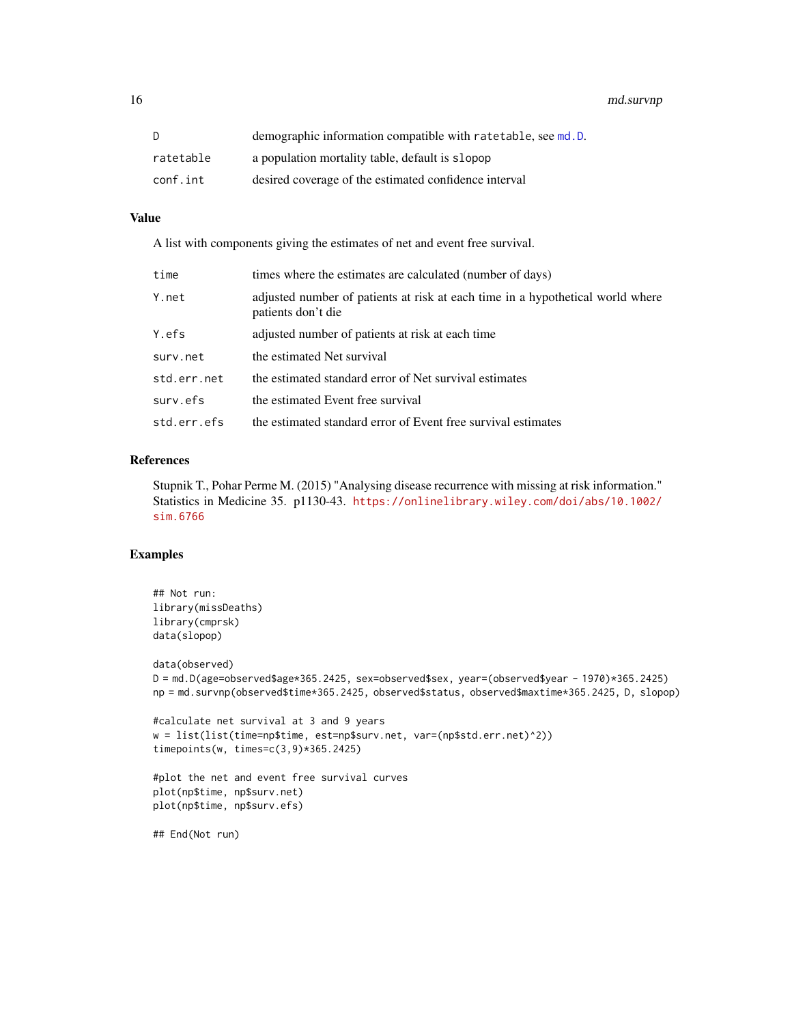<span id="page-15-0"></span>16 md.survnp

| D.        | demographic information compatible with ratetable, see md.D. |
|-----------|--------------------------------------------------------------|
| ratetable | a population mortality table, default is slopop              |
| conf.int  | desired coverage of the estimated confidence interval        |

# Value

A list with components giving the estimates of net and event free survival.

| time        | times where the estimates are calculated (number of days)                                            |
|-------------|------------------------------------------------------------------------------------------------------|
| Y.net       | adjusted number of patients at risk at each time in a hypothetical world where<br>patients don't die |
| Y.efs       | adjusted number of patients at risk at each time                                                     |
| surv.net    | the estimated Net survival                                                                           |
| std.err.net | the estimated standard error of Net survival estimates                                               |
| surv.efs    | the estimated Event free survival                                                                    |
| std.err.efs | the estimated standard error of Event free survival estimates                                        |

#### References

Stupnik T., Pohar Perme M. (2015) "Analysing disease recurrence with missing at risk information." Statistics in Medicine 35. p1130-43. [https://onlinelibrary.wiley.com/doi/abs/10.1002/](https://onlinelibrary.wiley.com/doi/abs/10.1002/sim.6766) [sim.6766](https://onlinelibrary.wiley.com/doi/abs/10.1002/sim.6766)

# Examples

```
## Not run:
library(missDeaths)
library(cmprsk)
data(slopop)
data(observed)
D = md.D(age=observed$age*365.2425, sex=observed$sex, year=(observed$year - 1970)*365.2425)
np = md.survnp(observed$time*365.2425, observed$status, observed$maxtime*365.2425, D, slopop)
#calculate net survival at 3 and 9 years
w = list(list(time=np$time, est=np$surv.net, var=(np$std.err.net)^2))
timepoints(w, times=c(3,9)*365.2425)
#plot the net and event free survival curves
plot(np$time, np$surv.net)
plot(np$time, np$surv.efs)
```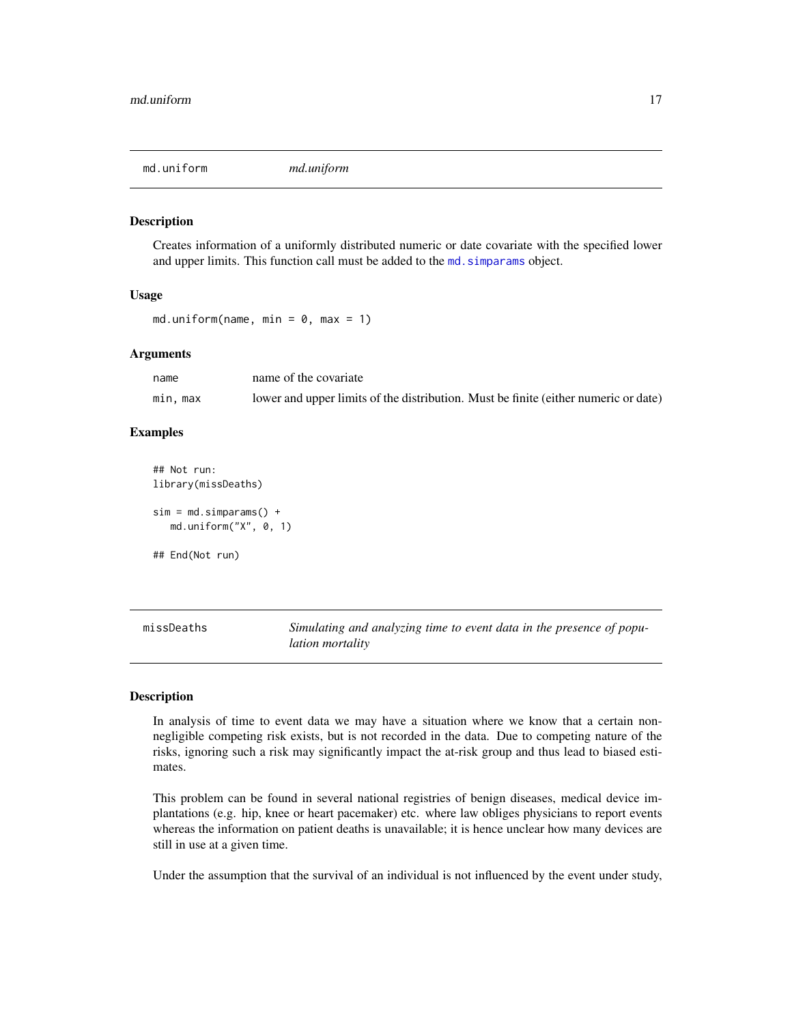<span id="page-16-1"></span><span id="page-16-0"></span>

Creates information of a uniformly distributed numeric or date covariate with the specified lower and upper limits. This function call must be added to the md. simparams object.

#### Usage

```
md.uniform(name, min = 0, max = 1)
```
#### Arguments

| name     | name of the covariate                                                               |
|----------|-------------------------------------------------------------------------------------|
| min, max | lower and upper limits of the distribution. Must be finite (either numeric or date) |

#### Examples

```
## Not run:
library(missDeaths)
sim = md.simparams() +md.uniform("X", 0, 1)
## End(Not run)
```
missDeaths *Simulating and analyzing time to event data in the presence of population mortality*

# Description

In analysis of time to event data we may have a situation where we know that a certain nonnegligible competing risk exists, but is not recorded in the data. Due to competing nature of the risks, ignoring such a risk may significantly impact the at-risk group and thus lead to biased estimates.

This problem can be found in several national registries of benign diseases, medical device implantations (e.g. hip, knee or heart pacemaker) etc. where law obliges physicians to report events whereas the information on patient deaths is unavailable; it is hence unclear how many devices are still in use at a given time.

Under the assumption that the survival of an individual is not influenced by the event under study,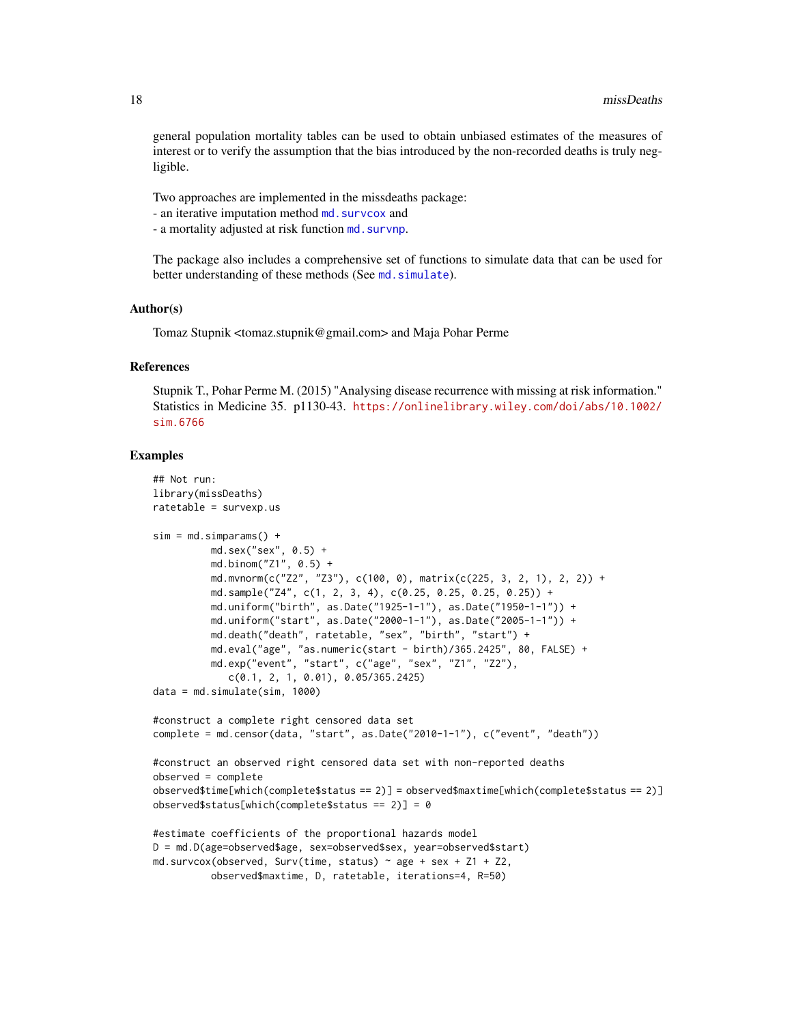<span id="page-17-0"></span>general population mortality tables can be used to obtain unbiased estimates of the measures of interest or to verify the assumption that the bias introduced by the non-recorded deaths is truly negligible.

Two approaches are implemented in the missdeaths package:

- an iterative imputation method md. survcox and
- a mortality adjusted at risk function md. survnp.

The package also includes a comprehensive set of functions to simulate data that can be used for better understanding of these methods (See md. simulate).

#### Author(s)

Tomaz Stupnik <tomaz.stupnik@gmail.com> and Maja Pohar Perme

#### References

Stupnik T., Pohar Perme M. (2015) "Analysing disease recurrence with missing at risk information." Statistics in Medicine 35. p1130-43. [https://onlinelibrary.wiley.com/doi/abs/10.1002/](https://onlinelibrary.wiley.com/doi/abs/10.1002/sim.6766) [sim.6766](https://onlinelibrary.wiley.com/doi/abs/10.1002/sim.6766)

#### Examples

```
## Not run:
library(missDeaths)
ratetable = survexp.us
sim = md.simparams() +md.sex("sex", 0.5) +
         md.binom("Z1", 0.5) +
         md.mvnorm(c("Z2", "Z3"), c(100, 0), matrix(c(225, 3, 2, 1), 2, 2)) +
          md.sample("Z4", c(1, 2, 3, 4), c(0.25, 0.25, 0.25, 0.25)) +
          md.uniform("birth", as.Date("1925-1-1"), as.Date("1950-1-1")) +
          md.uniform("start", as.Date("2000-1-1"), as.Date("2005-1-1")) +
          md.death("death", ratetable, "sex", "birth", "start") +
          md.eval("age", "as.numeric(start - birth)/365.2425", 80, FALSE) +
          md.exp("event", "start", c("age", "sex", "Z1", "Z2"),
             c(0.1, 2, 1, 0.01), 0.05/365.2425)
data = md.simulate(sim, 1000)
#construct a complete right censored data set
complete = md.censor(data, "start", as.Date("2010-1-1"), c("event", "death"))
#construct an observed right censored data set with non-reported deaths
observed = complete
observed$time[which(complete$status == 2)] = observed$maxtime[which(complete$status == 2)]
observed$status[which(complete$status == 2)] = 0
#estimate coefficients of the proportional hazards model
D = md.D(age=observed$age, sex=observed$sex, year=observed$start)
md.survcox(observed, Surv(time, status) \sim age + sex + Z1 + Z2,
          observed$maxtime, D, ratetable, iterations=4, R=50)
```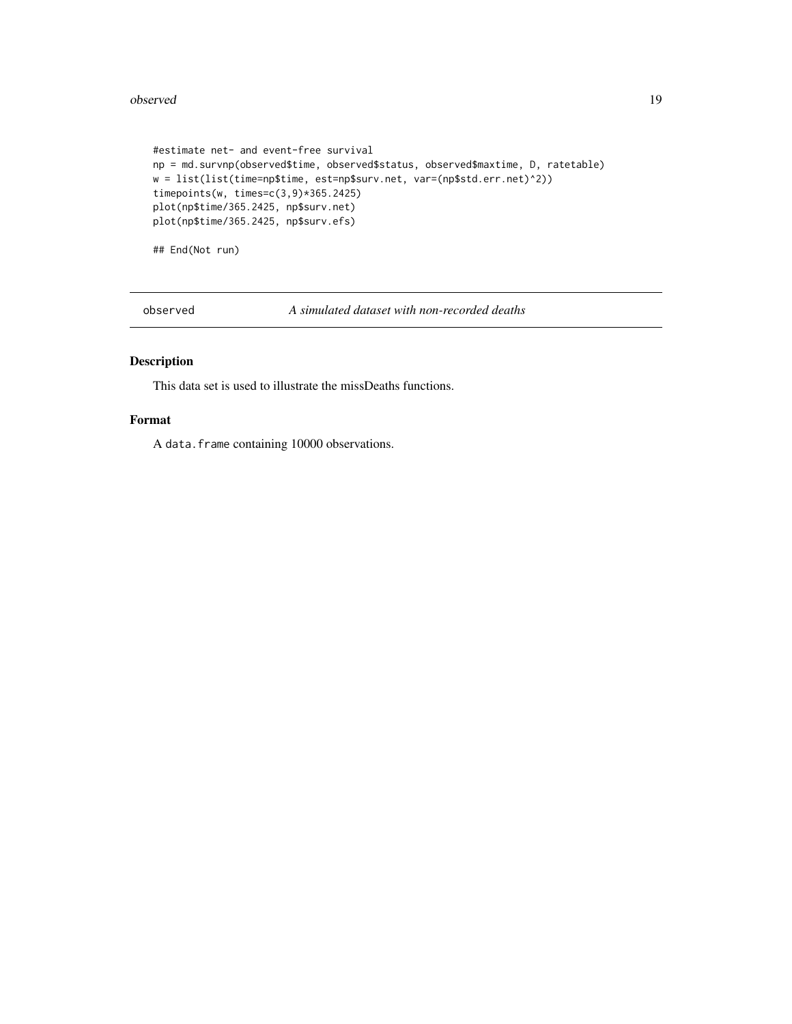#### <span id="page-18-0"></span>observed the contract of the contract of the contract of the contract of the contract of the contract of the contract of the contract of the contract of the contract of the contract of the contract of the contract of the c

```
#estimate net- and event-free survival
np = md.survnp(observed$time, observed$status, observed$maxtime, D, ratetable)
w = list(list(time=np$time, est=np$surv.net, var=(np$std.err.net)^2))
timepoints(w, times=c(3,9)*365.2425)
plot(np$time/365.2425, np$surv.net)
plot(np$time/365.2425, np$surv.efs)
```
## End(Not run)

observed *A simulated dataset with non-recorded deaths*

# Description

This data set is used to illustrate the missDeaths functions.

# Format

A data.frame containing 10000 observations.